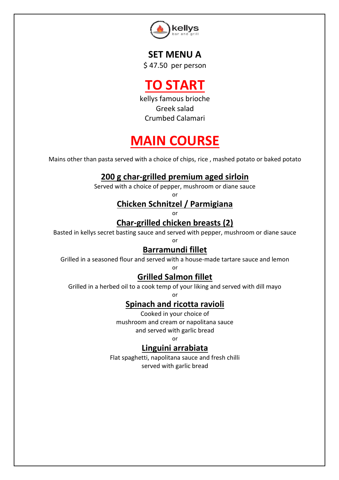

**SET MENU A** \$ 47.50 per person

**TO START**

kellys famous brioche Greek salad Crumbed Calamari

# **MAIN COURSE**

Mains other than pasta served with a choice of chips, rice , mashed potato or baked potato

### **200 g char-grilled premium aged sirloin**

Served with a choice of pepper, mushroom or diane sauce

or

### **Chicken Schnitzel / Parmigiana**

or

### **Char-grilled chicken breasts (2)**

Basted in kellys secret basting sauce and served with pepper, mushroom or diane sauce

or

#### **Barramundi fillet**

Grilled in a seasoned flour and served with a house-made tartare sauce and lemon or

### **Grilled Salmon fillet**

Grilled in a herbed oil to a cook temp of your liking and served with dill mayo

or

### **Spinach and ricotta ravioli**

Cooked in your choice of mushroom and cream or napolitana sauce and served with garlic bread

or

#### **Linguini arrabiata**

Flat spaghetti, napolitana sauce and fresh chilli served with garlic bread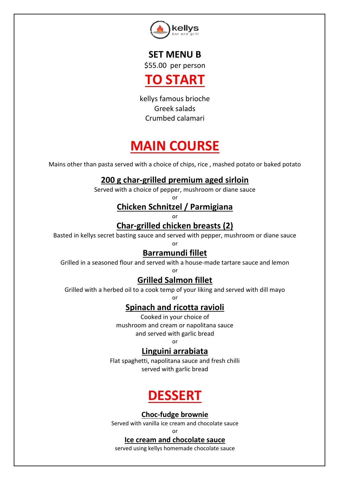

**SET MENU B** \$55.00 per person



kellys famous brioche Greek salads Crumbed calamari

# **MAIN COURSE**

Mains other than pasta served with a choice of chips, rice , mashed potato or baked potato

### **200 g char-grilled premium aged sirloin**

Served with a choice of pepper, mushroom or diane sauce or

### **Chicken Schnitzel / Parmigiana**

or

### **Char-grilled chicken breasts (2)**

Basted in kellys secret basting sauce and served with pepper, mushroom or diane sauce or

### **Barramundi fillet**

Grilled in a seasoned flour and served with a house-made tartare sauce and lemon or

### **Grilled Salmon fillet**

Grilled with a herbed oil to a cook temp of your liking and served with dill mayo or

### **Spinach and ricotta ravioli**

Cooked in your choice of mushroom and cream or napolitana sauce and served with garlic bread

or

#### **Linguini arrabiata**

Flat spaghetti, napolitana sauce and fresh chilli served with garlic bread

# **DESSERT**

**Choc-fudge brownie**

Served with vanilla ice cream and chocolate sauce

or

#### **Ice cream and chocolate sauce**

served using kellys homemade chocolate sauce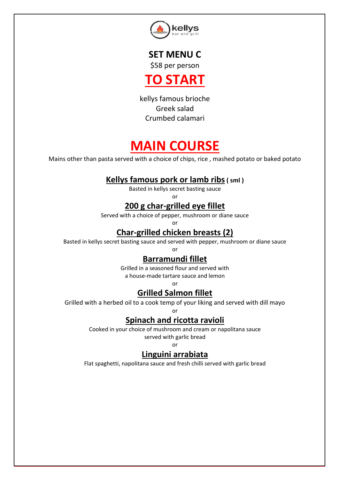

**SET MENU C** \$58 per person



kellys famous brioche Greek salad Crumbed calamari

# **MAIN COURSE**

Mains other than pasta served with a choice of chips, rice , mashed potato or baked potato

### **Kellys famous pork or lamb ribs( sml )**

Basted in kellys secret basting sauce

or

### **200 g char-grilled eye fillet**

Served with a choice of pepper, mushroom or diane sauce

or

### **Char-grilled chicken breasts (2)**

Basted in kellys secret basting sauce and served with pepper, mushroom or diane sauce or

#### **Barramundi fillet**

Grilled in a seasoned flour and served with a house-made tartare sauce and lemon

or

### **Grilled Salmon fillet**

Grilled with a herbed oil to a cook temp of your liking and served with dill mayo

or

### **Spinach and ricotta ravioli**

Cooked in your choice of mushroom and cream or napolitana sauce served with garlic bread

or

### **Linguini arrabiata**

Flat spaghetti, napolitana sauce and fresh chilli served with garlic bread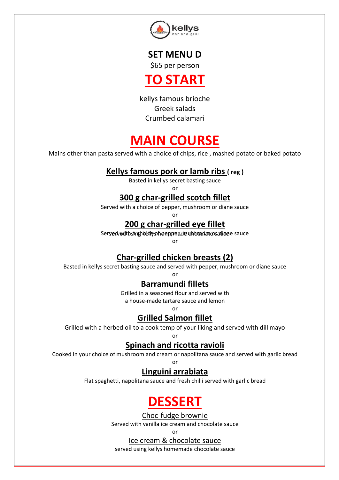

**SET MENU D** \$65 per person



kellys famous brioche Greek salads Crumbed calamari

## **MAIN COURSE**

Mains other than pasta served with a choice of chips, rice , mashed potato or baked potato

### **Kellys famous pork or lamb ribs ( reg )**

Basted in kellys secret basting sauce

or

### **300 g char-grilled scotch fillet**

Served with a choice of pepper, mushroom or diane sauce

or

### **200 g char-grilled eye fillet**

Ser**ved with sang kathy of pepper, de uthocod an eosalier**e sauce

or

### **Char-grilled chicken breasts (2)**

Basted in kellys secret basting sauce and served with pepper, mushroom or diane sauce

or

#### **Barramundi fillets**

Grilled in a seasoned flour and served with a house-made tartare sauce and lemon

or

### **Grilled Salmon fillet**

Grilled with a herbed oil to a cook temp of your liking and served with dill mayo

#### or **Spinach and ricotta ravioli**

Cooked in your choice of mushroom and cream or napolitana sauce and served with garlic bread

or

### **Linguini arrabiata**

Flat spaghetti, napolitana sauce and fresh chilli served with garlic bread

# **DESSERT**

Choc-fudge brownie

Served with vanilla ice cream and chocolate sauce

or

Ice cream & chocolate sauce

served using kellys homemade chocolate sauce